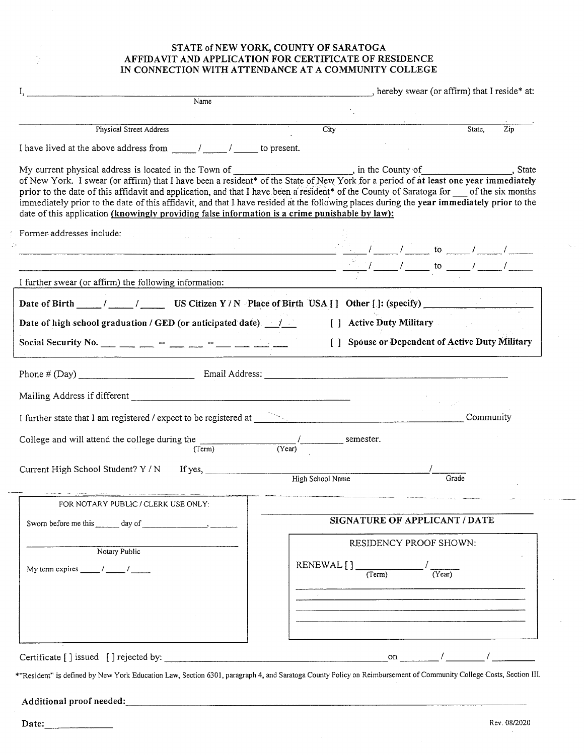#### **STATE of NEW YORK, COUNTY OF SARATOGA AFFIDAVIT AND APPLICATION FOR CERTIFICATE OF RESIDENCE IN CONNECTION WITH ATTENDANCE AT A COMMUNITY COLLEGE**

| Name                                                                                                                                                                                                                                                                                                                                                                                                                                                                                                                                                                                                                      |                                                                                                                 |                  |                                                                 |  |        |           | , hereby swear (or affirm) that I reside* at:  |
|---------------------------------------------------------------------------------------------------------------------------------------------------------------------------------------------------------------------------------------------------------------------------------------------------------------------------------------------------------------------------------------------------------------------------------------------------------------------------------------------------------------------------------------------------------------------------------------------------------------------------|-----------------------------------------------------------------------------------------------------------------|------------------|-----------------------------------------------------------------|--|--------|-----------|------------------------------------------------|
|                                                                                                                                                                                                                                                                                                                                                                                                                                                                                                                                                                                                                           |                                                                                                                 |                  |                                                                 |  |        |           |                                                |
| Physical Street Address                                                                                                                                                                                                                                                                                                                                                                                                                                                                                                                                                                                                   |                                                                                                                 | Citv             |                                                                 |  |        | State,    | $\overline{Zip}$                               |
|                                                                                                                                                                                                                                                                                                                                                                                                                                                                                                                                                                                                                           |                                                                                                                 |                  |                                                                 |  |        |           |                                                |
| My current physical address is located in the Town of __________________________, in the County of ____________________, State of New York. I swear (or affirm) that I have been a resident* of the State of New York for a pe<br>prior to the date of this affidavit and application, and that I have been a resident* of the County of Saratoga for __ of the six months<br>immediately prior to the date of this affidavit, and that I have resided at the following places during the year immediately prior to the<br>date of this application (knowingly providing false information is a crime punishable by law): |                                                                                                                 |                  |                                                                 |  |        |           |                                                |
| Former addresses include:<br>$\frac{1}{2}$ to $\frac{1}{2}$ to $\frac{1}{2}$ $\frac{1}{2}$ to $\frac{1}{2}$ $\frac{1}{2}$ $\frac{1}{2}$ $\frac{1}{2}$                                                                                                                                                                                                                                                                                                                                                                                                                                                                     |                                                                                                                 |                  |                                                                 |  |        |           |                                                |
| $\frac{1}{2}$ to $\frac{1}{2}$ to $\frac{1}{2}$ and $\frac{1}{2}$ and $\frac{1}{2}$ and $\frac{1}{2}$ and $\frac{1}{2}$ and $\frac{1}{2}$ and $\frac{1}{2}$ and $\frac{1}{2}$ and $\frac{1}{2}$ and $\frac{1}{2}$ and $\frac{1}{2}$ and $\frac{1}{2}$ and $\frac{1}{2}$ and $\frac{1}{2}$ and                                                                                                                                                                                                                                                                                                                             |                                                                                                                 |                  |                                                                 |  |        |           |                                                |
| I further swear (or affirm) the following information:                                                                                                                                                                                                                                                                                                                                                                                                                                                                                                                                                                    | the contract of the contract of the contract of the contract of the contract of the contract of the contract of |                  |                                                                 |  |        |           |                                                |
| Date of Birth ____/____/ US Citizen Y/N Place of Birth USA [] Other []: (specify)                                                                                                                                                                                                                                                                                                                                                                                                                                                                                                                                         |                                                                                                                 |                  |                                                                 |  |        |           |                                                |
| Date of high school graduation / GED (or anticipated date). 1                                                                                                                                                                                                                                                                                                                                                                                                                                                                                                                                                             |                                                                                                                 |                  | [ ] Active Duty Military                                        |  |        |           |                                                |
|                                                                                                                                                                                                                                                                                                                                                                                                                                                                                                                                                                                                                           |                                                                                                                 |                  |                                                                 |  |        |           | [] Spouse or Dependent of Active Duty Military |
|                                                                                                                                                                                                                                                                                                                                                                                                                                                                                                                                                                                                                           |                                                                                                                 |                  |                                                                 |  |        |           |                                                |
| Phone # (Day) Finall Address: Email Address:                                                                                                                                                                                                                                                                                                                                                                                                                                                                                                                                                                              |                                                                                                                 |                  |                                                                 |  |        |           |                                                |
|                                                                                                                                                                                                                                                                                                                                                                                                                                                                                                                                                                                                                           |                                                                                                                 |                  |                                                                 |  |        |           |                                                |
|                                                                                                                                                                                                                                                                                                                                                                                                                                                                                                                                                                                                                           |                                                                                                                 |                  |                                                                 |  |        |           |                                                |
| I further state that I am registered / expect to be registered at <b>All Community Community</b>                                                                                                                                                                                                                                                                                                                                                                                                                                                                                                                          |                                                                                                                 |                  |                                                                 |  |        | Community |                                                |
| College and will attend the college during the $\frac{1}{(Term)}$ $\frac{1}{(Year)}$ semester.                                                                                                                                                                                                                                                                                                                                                                                                                                                                                                                            |                                                                                                                 |                  |                                                                 |  |        |           |                                                |
| Current High School Student? Y / N If yes,                                                                                                                                                                                                                                                                                                                                                                                                                                                                                                                                                                                |                                                                                                                 |                  |                                                                 |  |        |           |                                                |
|                                                                                                                                                                                                                                                                                                                                                                                                                                                                                                                                                                                                                           |                                                                                                                 | High School Name |                                                                 |  | Grade  |           |                                                |
| FOR NOTARY PUBLIC / CLERK USE ONLY:                                                                                                                                                                                                                                                                                                                                                                                                                                                                                                                                                                                       |                                                                                                                 |                  |                                                                 |  |        |           |                                                |
|                                                                                                                                                                                                                                                                                                                                                                                                                                                                                                                                                                                                                           | SIGNATURE OF APPLICANT / DATE                                                                                   |                  |                                                                 |  |        |           |                                                |
|                                                                                                                                                                                                                                                                                                                                                                                                                                                                                                                                                                                                                           |                                                                                                                 |                  | RESIDENCY PROOF SHOWN:                                          |  |        |           |                                                |
| Notary Public                                                                                                                                                                                                                                                                                                                                                                                                                                                                                                                                                                                                             |                                                                                                                 |                  |                                                                 |  |        |           |                                                |
|                                                                                                                                                                                                                                                                                                                                                                                                                                                                                                                                                                                                                           |                                                                                                                 | RENEWAL [] Term  |                                                                 |  | (Year) |           |                                                |
| My term expires $\frac{1}{\sqrt{1-\frac{1}{2}}}\frac{1}{\sqrt{1-\frac{1}{2}}}\frac{1}{\sqrt{1-\frac{1}{2}}}\frac{1}{\sqrt{1-\frac{1}{2}}}\frac{1}{\sqrt{1-\frac{1}{2}}}\frac{1}{\sqrt{1-\frac{1}{2}}}\frac{1}{\sqrt{1-\frac{1}{2}}}\frac{1}{\sqrt{1-\frac{1}{2}}}\frac{1}{\sqrt{1-\frac{1}{2}}}\frac{1}{\sqrt{1-\frac{1}{2}}}\frac{1}{\sqrt{1-\frac{1}{2}}}\frac{1}{\sqrt{1-\frac{1}{2}}}\frac{1}{\sqrt{1-\frac{$                                                                                                                                                                                                         |                                                                                                                 |                  |                                                                 |  |        |           |                                                |
|                                                                                                                                                                                                                                                                                                                                                                                                                                                                                                                                                                                                                           |                                                                                                                 |                  |                                                                 |  |        |           |                                                |
|                                                                                                                                                                                                                                                                                                                                                                                                                                                                                                                                                                                                                           |                                                                                                                 |                  | <u> 1980 - Jan Samuel Barnett, amerikansk politik (d. 1980)</u> |  |        |           |                                                |
|                                                                                                                                                                                                                                                                                                                                                                                                                                                                                                                                                                                                                           |                                                                                                                 |                  |                                                                 |  |        |           |                                                |

\*"Resident" is defined by New York Education Law, Section 6301, paragraph 4, and Saratoga County Policy on Reimbursement of Community College Costs, Section III.

# **Additional proof needed: \_\_\_\_\_\_\_\_\_\_\_\_\_\_\_\_\_\_\_\_\_\_\_\_\_\_\_\_\_\_\_\_\_\_\_\_\_\_**

š,